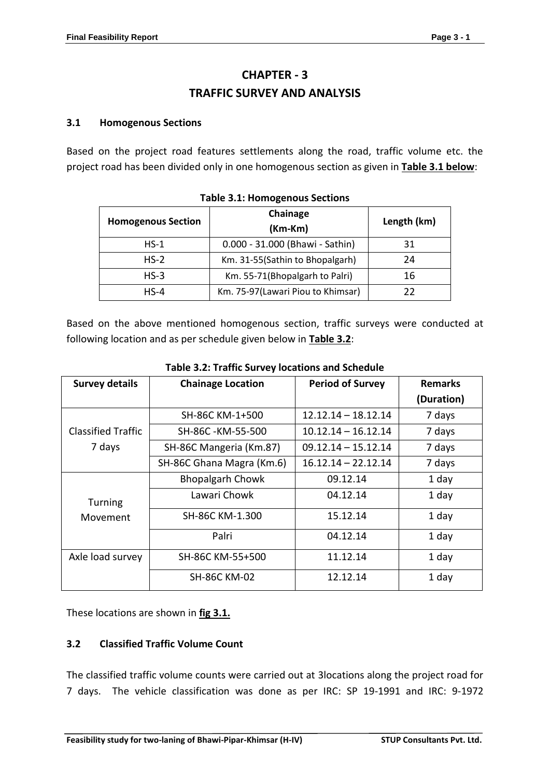# **CHAPTER - 3 TRAFFIC SURVEY AND ANALYSIS**

#### **3.1 Homogenous Sections**

Based on the project road features settlements along the road, traffic volume etc. the project road has been divided only in one homogenous section as given in **Table 3.1 below**:

| <b>Homogenous Section</b> | Chainage<br>(Km-Km)               | Length (km) |
|---------------------------|-----------------------------------|-------------|
| $HS-1$                    | 0.000 - 31.000 (Bhawi - Sathin)   | 31          |
| $HS-2$                    | Km. 31-55(Sathin to Bhopalgarh)   | 24          |
| $HS-3$                    | Km. 55-71(Bhopalgarh to Palri)    | 16          |
| $HS-4$                    | Km. 75-97(Lawari Piou to Khimsar) | 22          |

|  |  | <b>Table 3.1: Homogenous Sections</b> |  |
|--|--|---------------------------------------|--|
|--|--|---------------------------------------|--|

Based on the above mentioned homogenous section, traffic surveys were conducted at following location and as per schedule given below in **Table 3.2**:

| <b>Survey details</b>     | <b>Chainage Location</b>  | <b>Period of Survey</b> | <b>Remarks</b> |
|---------------------------|---------------------------|-------------------------|----------------|
|                           |                           |                         | (Duration)     |
|                           | SH-86C KM-1+500           | $12.12.14 - 18.12.14$   | 7 days         |
| <b>Classified Traffic</b> | SH-86C - KM-55-500        | $10.12.14 - 16.12.14$   | 7 days         |
| 7 days                    | SH-86C Mangeria (Km.87)   | $09.12.14 - 15.12.14$   | 7 days         |
|                           | SH-86C Ghana Magra (Km.6) | $16.12.14 - 22.12.14$   | 7 days         |
|                           | <b>Bhopalgarh Chowk</b>   | 09.12.14                | 1 day          |
| <b>Turning</b>            | Lawari Chowk              | 04.12.14                | 1 day          |
| Movement                  | SH-86C KM-1.300           | 15.12.14                | 1 day          |
|                           | Palri                     | 04.12.14                | 1 day          |
| Axle load survey          | SH-86C KM-55+500          | 11.12.14                | 1 day          |
|                           | <b>SH-86C KM-02</b>       | 12.12.14                | 1 day          |

#### **Table 3.2: Traffic Survey locations and Schedule**

These locations are shown in **fig 3.1.**

#### **3.2 Classified Traffic Volume Count**

The classified traffic volume counts were carried out at 3locations along the project road for 7 days. The vehicle classification was done as per IRC: SP 19-1991 and IRC: 9-1972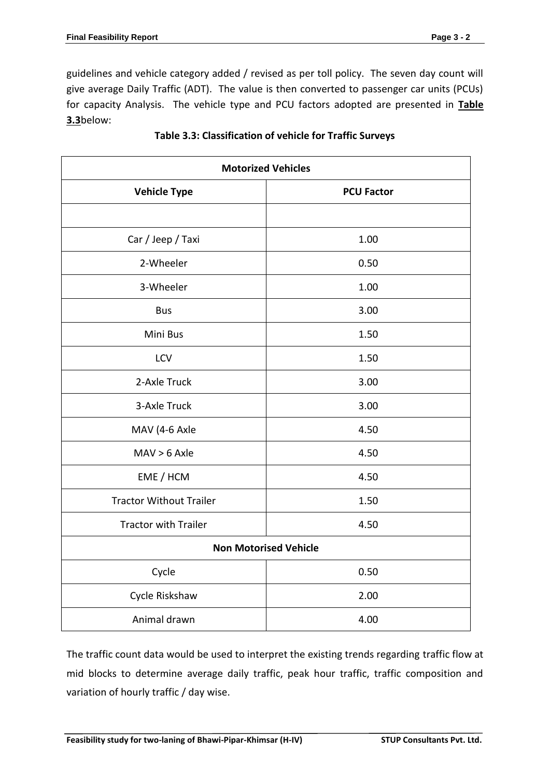guidelines and vehicle category added / revised as per toll policy. The seven day count will give average Daily Traffic (ADT). The value is then converted to passenger car units (PCUs) for capacity Analysis. The vehicle type and PCU factors adopted are presented in **Table 3.3**below:

| <b>Motorized Vehicles</b>      |                              |  |  |  |  |  |  |  |  |  |
|--------------------------------|------------------------------|--|--|--|--|--|--|--|--|--|
| <b>Vehicle Type</b>            | <b>PCU Factor</b>            |  |  |  |  |  |  |  |  |  |
|                                |                              |  |  |  |  |  |  |  |  |  |
| Car / Jeep / Taxi              | 1.00                         |  |  |  |  |  |  |  |  |  |
| 2-Wheeler                      | 0.50                         |  |  |  |  |  |  |  |  |  |
| 3-Wheeler                      | 1.00                         |  |  |  |  |  |  |  |  |  |
| <b>Bus</b>                     | 3.00                         |  |  |  |  |  |  |  |  |  |
| Mini Bus                       | 1.50                         |  |  |  |  |  |  |  |  |  |
| LCV                            | 1.50                         |  |  |  |  |  |  |  |  |  |
| 2-Axle Truck                   | 3.00                         |  |  |  |  |  |  |  |  |  |
| 3-Axle Truck                   | 3.00                         |  |  |  |  |  |  |  |  |  |
| MAV (4-6 Axle                  | 4.50                         |  |  |  |  |  |  |  |  |  |
| $MAV > 6$ Axle                 | 4.50                         |  |  |  |  |  |  |  |  |  |
| EME / HCM                      | 4.50                         |  |  |  |  |  |  |  |  |  |
| <b>Tractor Without Trailer</b> | 1.50                         |  |  |  |  |  |  |  |  |  |
| <b>Tractor with Trailer</b>    | 4.50                         |  |  |  |  |  |  |  |  |  |
|                                | <b>Non Motorised Vehicle</b> |  |  |  |  |  |  |  |  |  |
| Cycle                          | 0.50                         |  |  |  |  |  |  |  |  |  |
| Cycle Riskshaw                 | 2.00                         |  |  |  |  |  |  |  |  |  |
| Animal drawn                   | 4.00                         |  |  |  |  |  |  |  |  |  |

## **Table 3.3: Classification of vehicle for Traffic Surveys**

The traffic count data would be used to interpret the existing trends regarding traffic flow at mid blocks to determine average daily traffic, peak hour traffic, traffic composition and variation of hourly traffic / day wise.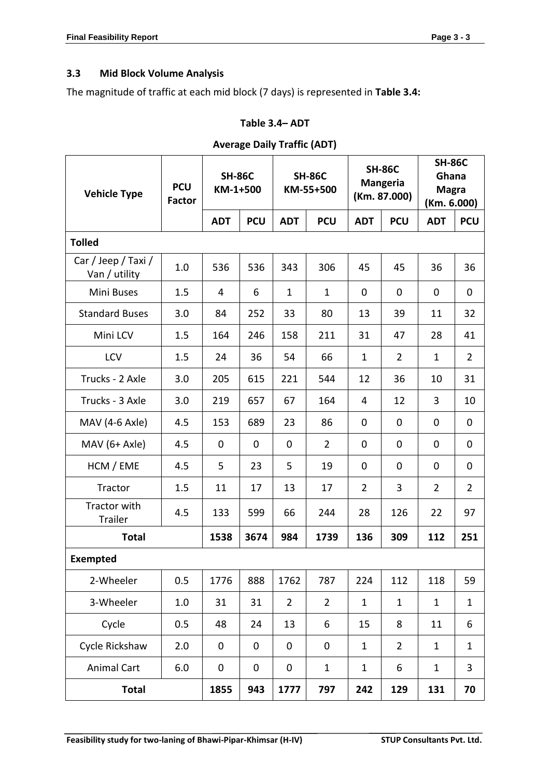# **3.3 Mid Block Volume Analysis**

The magnitude of traffic at each mid block (7 days) is represented in **Table 3.4:**

#### **Table 3.4– ADT**

#### **Average Daily Traffic (ADT)**

| <b>Vehicle Type</b>                  | <b>PCU</b><br><b>Factor</b> | <b>SH-86C</b><br>KM-1+500 |            |                | <b>SH-86C</b><br>KM-55+500 |                | <b>SH-86C</b><br><b>Mangeria</b><br>(Km. 87.000) | <b>SH-86C</b><br>Ghana<br><b>Magra</b><br>(Km. 6.000) |                |
|--------------------------------------|-----------------------------|---------------------------|------------|----------------|----------------------------|----------------|--------------------------------------------------|-------------------------------------------------------|----------------|
|                                      |                             | <b>ADT</b>                | <b>PCU</b> | <b>ADT</b>     | <b>PCU</b>                 | <b>ADT</b>     | <b>PCU</b>                                       | <b>ADT</b>                                            | <b>PCU</b>     |
| <b>Tolled</b>                        |                             |                           |            |                |                            |                |                                                  |                                                       |                |
| Car / Jeep / Taxi /<br>Van / utility | 1.0                         | 536                       | 536        | 343            | 306                        | 45             | 45                                               | 36                                                    | 36             |
| Mini Buses                           | 1.5                         | $\overline{4}$            | 6          | $\mathbf{1}$   | $\mathbf{1}$               | 0              | 0                                                | 0                                                     | 0              |
| <b>Standard Buses</b>                | 3.0                         | 84                        | 252        | 33             | 80                         | 13             | 39                                               | 11                                                    | 32             |
| Mini LCV                             | 1.5                         | 164                       | 246        | 158            | 211                        | 31             | 47                                               | 28                                                    | 41             |
| LCV                                  | 1.5                         | 24                        | 36         | 54             | 66                         | $\mathbf{1}$   | $\overline{2}$                                   | $\mathbf{1}$                                          | $\overline{2}$ |
| Trucks - 2 Axle<br>3.0               |                             | 205                       | 615        | 221            | 544                        | 12             | 36                                               | 10                                                    | 31             |
| Trucks - 3 Axle                      | 3.0                         | 219                       | 657        | 67             | 164                        | 4              | 12                                               | 3                                                     | 10             |
| MAV (4-6 Axle)<br>4.5                |                             | 153                       | 689        | 23             | 86                         | 0              | 0                                                | 0                                                     | 0              |
| MAV (6+ Axle)                        | 4.5                         | $\mathbf 0$               | 0          | 0              | $\overline{2}$             | 0              | 0                                                | 0                                                     | 0              |
| HCM / EME                            | 4.5                         | 5                         | 23         | 5              | 19                         | 0              | 0                                                | 0                                                     | 0              |
| Tractor                              | 1.5                         | 11                        | 17         | 13             | 17                         | $\overline{2}$ | 3                                                | $\overline{2}$                                        | $\overline{2}$ |
| Tractor with<br><b>Trailer</b>       | 4.5                         | 133                       | 599        | 66             | 244                        | 28             | 126                                              | 22                                                    | 97             |
| <b>Total</b>                         |                             | 1538                      | 3674       | 984            | 1739                       | 136            | 309                                              | 112                                                   | 251            |
| <b>Exempted</b>                      |                             |                           |            |                |                            |                |                                                  |                                                       |                |
| 2-Wheeler                            | 0.5                         | 1776                      | 888        | 1762           | 787                        | 224            | 112                                              | 118                                                   | 59             |
| 3-Wheeler                            | 1.0                         | 31                        | 31         | $\overline{2}$ | $\overline{2}$             | $\mathbf{1}$   | $\mathbf{1}$                                     | $\mathbf{1}$                                          | $\mathbf{1}$   |
| Cycle                                | 0.5                         | 48                        | 24         | 13             | 6                          | 15             | 8                                                | 11                                                    | 6              |
| Cycle Rickshaw                       | 2.0                         | 0                         | 0          | 0              | 0                          | $\mathbf{1}$   | $\overline{2}$                                   | $\mathbf{1}$                                          | $\mathbf{1}$   |
| <b>Animal Cart</b>                   | 6.0                         | 0                         | 0          | 0              | $\mathbf{1}$               | $\mathbf 1$    | 6                                                | $\mathbf{1}$                                          | 3              |
| <b>Total</b>                         |                             | 1855                      | 943        | 1777           | 797                        | 242            | 129                                              | 131                                                   | 70             |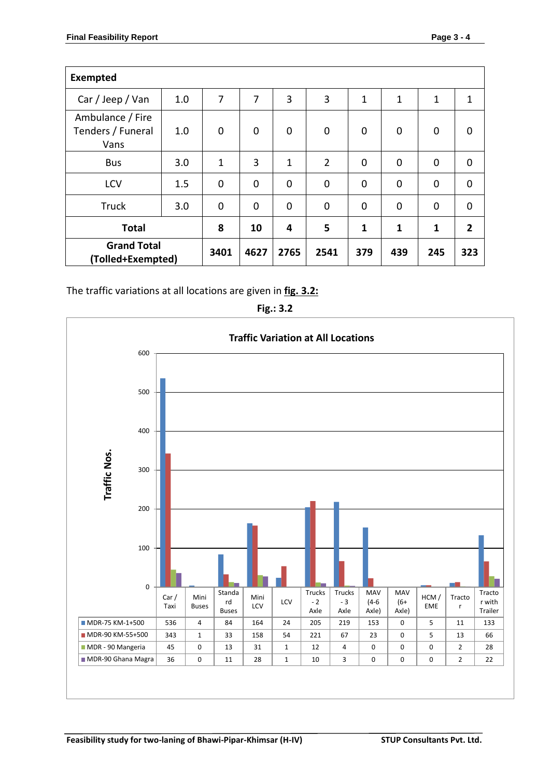| <b>Exempted</b>                               |     |                |             |              |                |                |              |                |             |  |  |
|-----------------------------------------------|-----|----------------|-------------|--------------|----------------|----------------|--------------|----------------|-------------|--|--|
| Car / Jeep / Van                              | 1.0 | $\overline{7}$ | 7           | 3            | 3              | $\mathbf{1}$   | 1            | $\mathbf{1}$   | 1           |  |  |
| Ambulance / Fire<br>Tenders / Funeral<br>Vans | 1.0 | $\mathbf 0$    | $\mathbf 0$ | $\mathbf 0$  | $\mathbf 0$    | $\overline{0}$ | $\mathbf 0$  | $\mathbf 0$    | $\mathbf 0$ |  |  |
| <b>Bus</b>                                    | 3.0 | 1              | 3           | $\mathbf{1}$ | $\overline{2}$ | $\overline{0}$ | $\mathbf 0$  | $\mathbf 0$    | $\mathbf 0$ |  |  |
| LCV                                           | 1.5 | $\mathbf 0$    | $\mathbf 0$ | $\mathbf 0$  | $\mathbf 0$    | $\overline{0}$ | $\mathbf 0$  | $\mathbf 0$    | $\mathbf 0$ |  |  |
| <b>Truck</b>                                  | 3.0 | $\mathbf 0$    | $\mathbf 0$ | $\mathbf 0$  | $\mathbf 0$    | $\overline{0}$ | $\mathbf 0$  | $\mathbf 0$    | $\mathbf 0$ |  |  |
| <b>Total</b>                                  | 8   | 10             | 4           | 5            | 1              | 1              | $\mathbf{1}$ | $\overline{2}$ |             |  |  |
| <b>Grand Total</b><br>(Tolled+Exempted)       |     | 3401           | 4627        | 2765         | 2541           | 379            | 439          | 245            | 323         |  |  |

# The traffic variations at all locations are given in **fig. 3.2:**

**Fig.: 3.2**

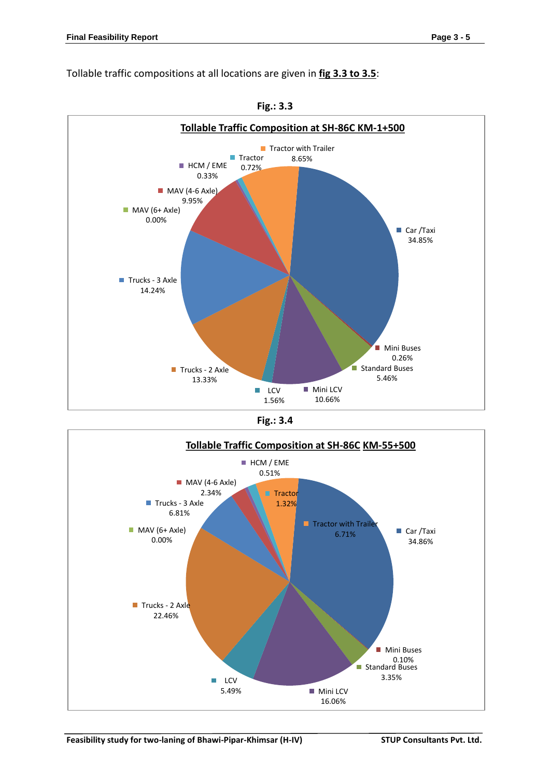#### Tollable traffic compositions at all locations are given in **fig 3.3 to 3.5**:



```
Fig.: 3.3
```
**Fig.: 3.4**

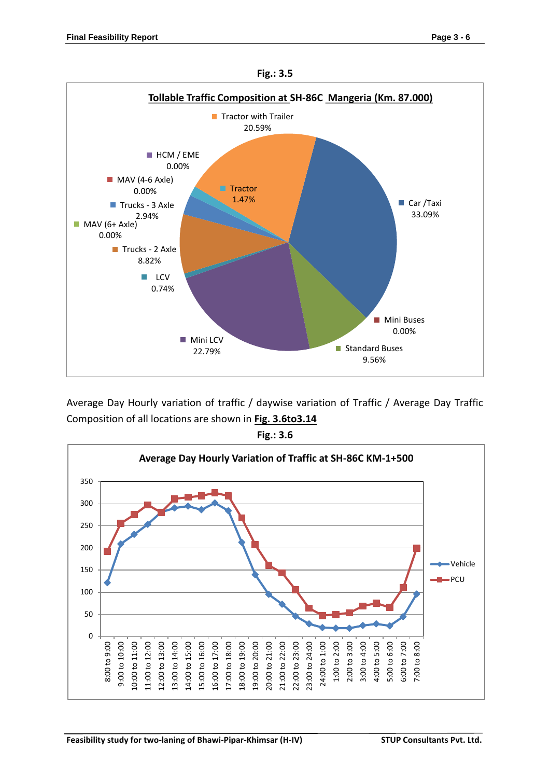

Average Day Hourly variation of traffic / daywise variation of Traffic / Average Day Traffic Composition of all locations are shown in **Fig. 3.6to3.14**



**Fig.: 3.5**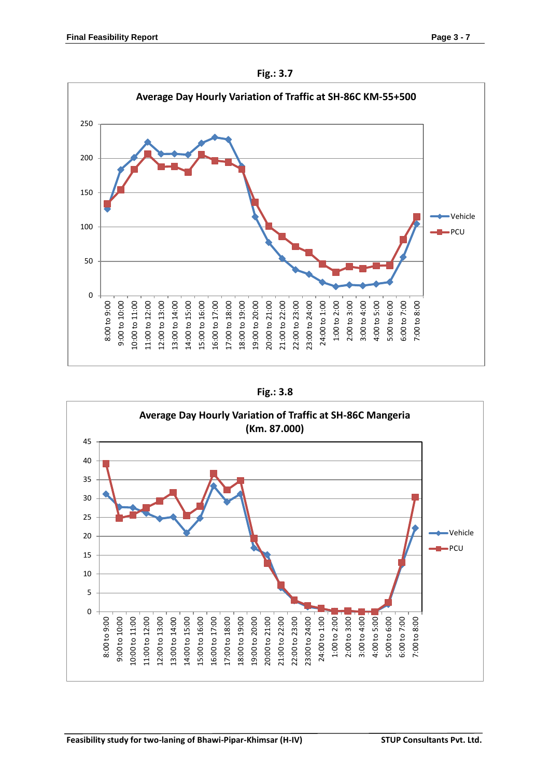



**Fig.: 3.8**

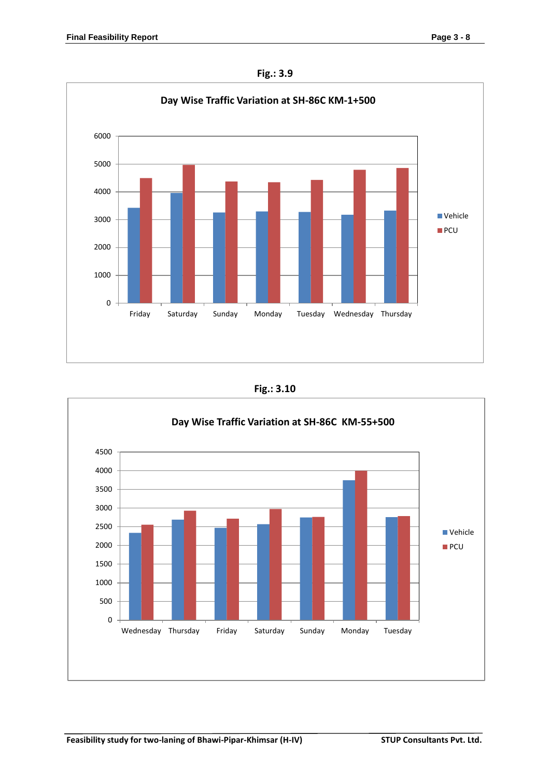

**Fig.: 3.9**

**Fig.: 3.10**

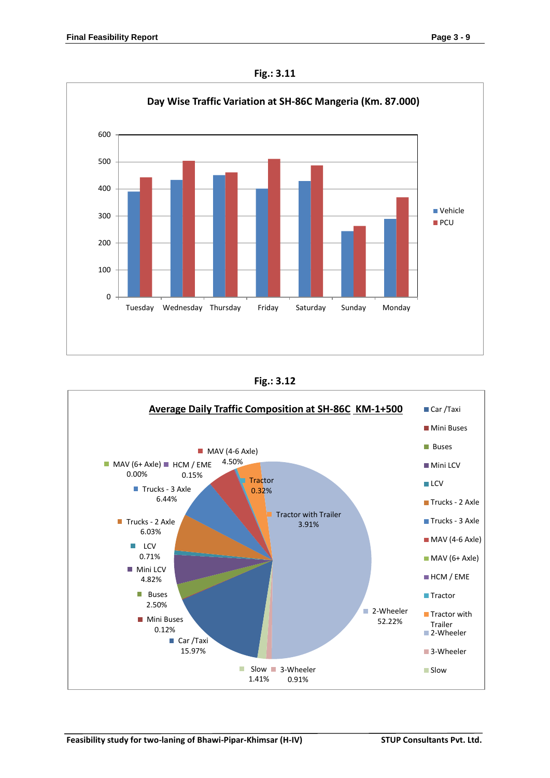

**Fig.: 3.11**



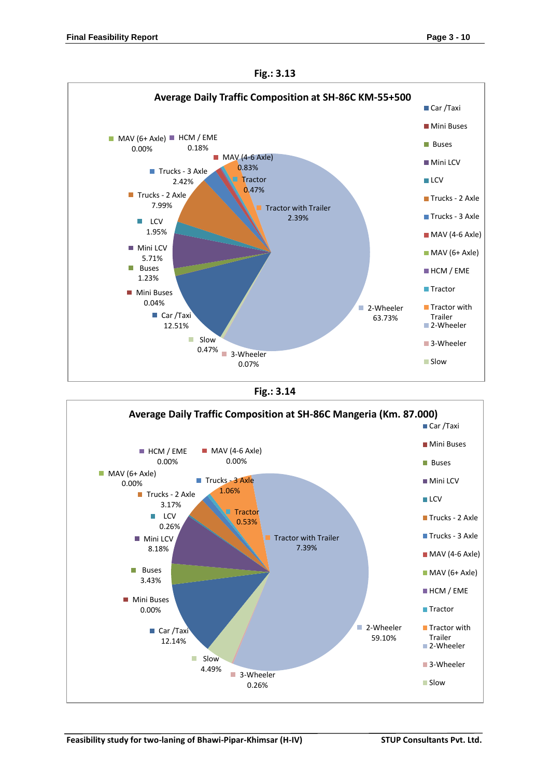



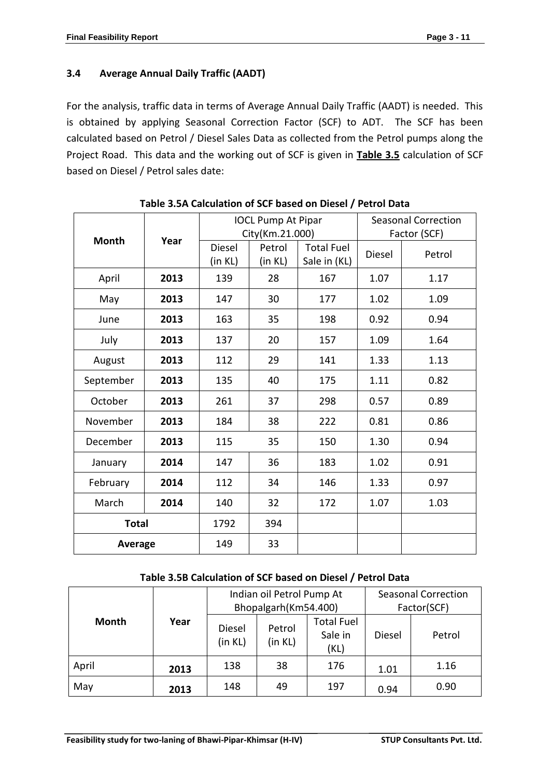# **3.4 Average Annual Daily Traffic (AADT)**

For the analysis, traffic data in terms of Average Annual Daily Traffic (AADT) is needed. This is obtained by applying Seasonal Correction Factor (SCF) to ADT. The SCF has been calculated based on Petrol / Diesel Sales Data as collected from the Petrol pumps along the Project Road. This data and the working out of SCF is given in **Table 3.5** calculation of SCF based on Diesel / Petrol sales date:

|                |      |                          | <b>IOCL Pump At Pipar</b><br>City(Km.21.000) |                                   | <b>Seasonal Correction</b><br>Factor (SCF) |        |  |
|----------------|------|--------------------------|----------------------------------------------|-----------------------------------|--------------------------------------------|--------|--|
| <b>Month</b>   | Year | <b>Diesel</b><br>(in KL) | Petrol<br>(in KL)                            | <b>Total Fuel</b><br>Sale in (KL) | <b>Diesel</b>                              | Petrol |  |
| April          | 2013 | 139                      | 28                                           | 167                               | 1.07                                       | 1.17   |  |
| May            | 2013 | 147                      | 30                                           | 177                               | 1.02                                       | 1.09   |  |
| June           | 2013 | 163                      | 35                                           | 198                               | 0.92                                       | 0.94   |  |
| July           | 2013 | 137                      | 20                                           | 157                               | 1.09                                       | 1.64   |  |
| August         | 2013 | 112                      | 29                                           | 141                               | 1.33                                       | 1.13   |  |
| September      | 2013 | 135                      | 40                                           | 175                               | 1.11                                       | 0.82   |  |
| October        | 2013 | 261                      | 37                                           | 298                               | 0.57                                       | 0.89   |  |
| November       | 2013 | 184                      | 38                                           | 222                               | 0.81                                       | 0.86   |  |
| December       | 2013 | 115                      | 35                                           | 150                               | 1.30                                       | 0.94   |  |
| January        | 2014 | 147                      | 36                                           | 183                               | 1.02                                       | 0.91   |  |
| February       | 2014 | 112                      | 34                                           | 146                               | 1.33                                       | 0.97   |  |
| March          | 2014 | 140                      | 32                                           | 172                               | 1.07                                       | 1.03   |  |
| <b>Total</b>   |      | 1792                     | 394                                          |                                   |                                            |        |  |
| <b>Average</b> |      | 149                      | 33                                           |                                   |                                            |        |  |

**Table 3.5A Calculation of SCF based on Diesel / Petrol Data**

#### **Table 3.5B Calculation of SCF based on Diesel / Petrol Data**

|              | Year |                   | Indian oil Petrol Pump At<br>Bhopalgarh(Km54.400) | <b>Seasonal Correction</b><br>Factor(SCF) |        |        |
|--------------|------|-------------------|---------------------------------------------------|-------------------------------------------|--------|--------|
| <b>Month</b> |      | Diesel<br>(in KL) | Petrol<br>(in KL)                                 | <b>Total Fuel</b><br>Sale in<br>(KL)      | Diesel | Petrol |
| April        | 2013 | 138               | 38                                                | 176                                       | 1.01   | 1.16   |
| May          | 2013 | 148               | 49                                                | 197                                       | 0.94   | 0.90   |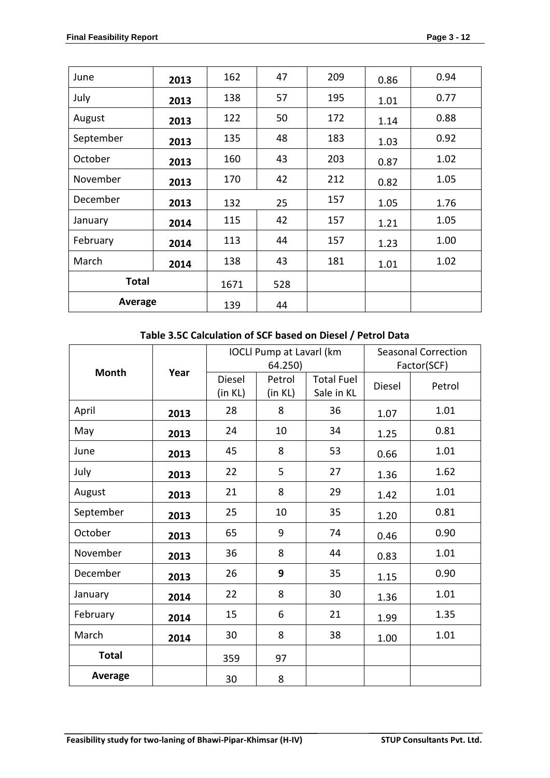| June         | 2013 | 162  | 47  | 209 | 0.86 | 0.94 |
|--------------|------|------|-----|-----|------|------|
| July         | 2013 | 138  | 57  | 195 | 1.01 | 0.77 |
| August       | 2013 | 122  | 50  | 172 | 1.14 | 0.88 |
| September    | 2013 | 135  | 48  | 183 | 1.03 | 0.92 |
| October      | 2013 | 160  | 43  | 203 | 0.87 | 1.02 |
| November     | 2013 | 170  | 42  | 212 | 0.82 | 1.05 |
| December     | 2013 | 132  | 25  | 157 | 1.05 | 1.76 |
| January      | 2014 | 115  | 42  | 157 | 1.21 | 1.05 |
| February     | 2014 | 113  | 44  | 157 | 1.23 | 1.00 |
| March        | 2014 | 138  | 43  | 181 | 1.01 | 1.02 |
| <b>Total</b> |      | 1671 | 528 |     |      |      |
| Average      |      | 139  | 44  |     |      |      |

# **Table 3.5C Calculation of SCF based on Diesel / Petrol Data**

|              |      |                   | <b>IOCLI Pump at Lavarl (km</b> | <b>Seasonal Correction</b>      |               |             |
|--------------|------|-------------------|---------------------------------|---------------------------------|---------------|-------------|
| <b>Month</b> | Year |                   | 64.250)                         |                                 |               | Factor(SCF) |
|              |      | Diesel<br>(in KL) | Petrol<br>(in KL)               | <b>Total Fuel</b><br>Sale in KL | <b>Diesel</b> | Petrol      |
| April        | 2013 | 28                | 8                               | 36                              | 1.07          | 1.01        |
| May          | 2013 | 24                | 10                              | 34                              | 1.25          | 0.81        |
| June         | 2013 | 45                | 8                               | 53                              | 0.66          | 1.01        |
| July         | 2013 | 22                | 5                               | 27                              | 1.36          | 1.62        |
| August       | 2013 | 21                | 8                               | 29                              | 1.42          | 1.01        |
| September    | 2013 | 25                | 10                              | 35                              | 1.20          | 0.81        |
| October      | 2013 | 65                | 9                               | 74                              | 0.46          | 0.90        |
| November     | 2013 | 36                | 8                               | 44                              | 0.83          | 1.01        |
| December     | 2013 | 26                | 9                               | 35                              | 1.15          | 0.90        |
| January      | 2014 | 22                | 8                               | 30                              | 1.36          | 1.01        |
| February     | 2014 | 15                | 6                               | 21                              | 1.99          | 1.35        |
| March        | 2014 | 30                | 8                               | 38                              | 1.00          | 1.01        |
| <b>Total</b> |      | 359               | 97                              |                                 |               |             |
| Average      |      | 30                | 8                               |                                 |               |             |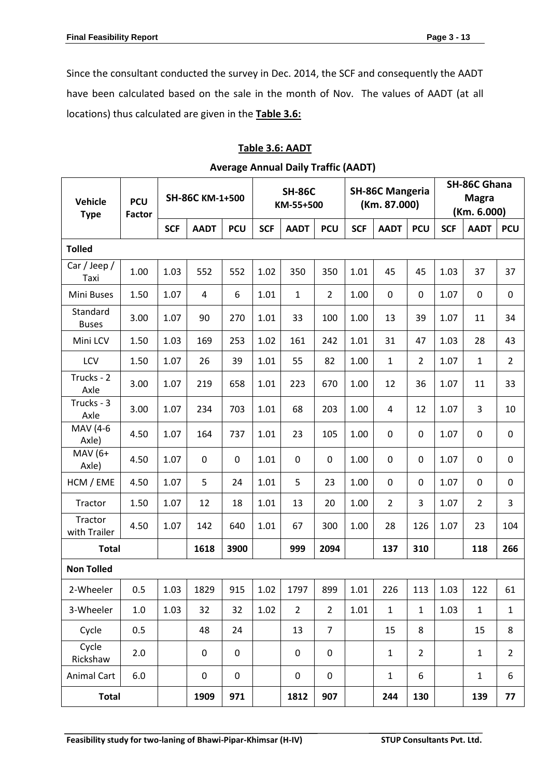Since the consultant conducted the survey in Dec. 2014, the SCF and consequently the AADT have been calculated based on the sale in the month of Nov. The values of AADT (at all locations) thus calculated are given in the **Table 3.6:**

## **Table 3.6: AADT**

#### **Average Annual Daily Traffic (AADT)**

| <b>PCU</b><br><b>Vehicle</b><br><b>Factor</b><br><b>Type</b> |         | SH-86C KM-1+500 |             |             | <b>SH-86C</b><br>KM-55+500 |                |                | <b>SH-86C Mangeria</b><br>(Km. 87.000) |                |                | SH-86C Ghana<br><b>Magra</b><br>(Km. 6.000) |                |                |
|--------------------------------------------------------------|---------|-----------------|-------------|-------------|----------------------------|----------------|----------------|----------------------------------------|----------------|----------------|---------------------------------------------|----------------|----------------|
|                                                              |         | <b>SCF</b>      | <b>AADT</b> | <b>PCU</b>  | <b>SCF</b>                 | <b>AADT</b>    | <b>PCU</b>     | <b>SCF</b>                             | <b>AADT</b>    | <b>PCU</b>     | <b>SCF</b>                                  | <b>AADT</b>    | <b>PCU</b>     |
| <b>Tolled</b>                                                |         |                 |             |             |                            |                |                |                                        |                |                |                                             |                |                |
| Car / Jeep /<br>Taxi                                         | 1.00    | 1.03            | 552         | 552         | 1.02                       | 350            | 350            | 1.01                                   | 45             | 45             | 1.03                                        | 37             | 37             |
| Mini Buses                                                   | 1.50    | 1.07            | 4           | 6           | 1.01                       | $\mathbf{1}$   | $\overline{2}$ | 1.00                                   | $\mathbf 0$    | 0              | 1.07                                        | $\mathbf 0$    | 0              |
| Standard<br><b>Buses</b>                                     | 3.00    | 1.07            | 90          | 270         | 1.01                       | 33             | 100            | 1.00                                   | 13             | 39             | 1.07                                        | 11             | 34             |
| Mini LCV                                                     | 1.50    | 1.03            | 169         | 253         | 1.02                       | 161            | 242            | 1.01                                   | 31             | 47             | 1.03                                        | 28             | 43             |
| LCV                                                          | 1.50    | 1.07            | 26          | 39          | 1.01                       | 55             | 82             | 1.00                                   | $\mathbf{1}$   | $\overline{2}$ | 1.07                                        | $\mathbf{1}$   | $\overline{2}$ |
| Trucks - 2<br>Axle                                           | 3.00    | 1.07            | 219         | 658         | 1.01                       | 223            | 670            | 1.00                                   | 12             | 36             | 1.07                                        | 11             | 33             |
| Trucks - 3<br>Axle                                           | 3.00    | 1.07            | 234         | 703         | 1.01                       | 68             | 203            | 1.00                                   | 4              | 12             | 1.07                                        | 3              | 10             |
| MAV (4-6<br>Axle)                                            | 4.50    | 1.07            | 164         | 737         | 1.01                       | 23             | 105            | 1.00                                   | 0              | 0              | 1.07                                        | $\pmb{0}$      | 0              |
| $MAV (6+$<br>Axle)                                           | 4.50    | 1.07            | $\mathbf 0$ | $\mathbf 0$ | 1.01                       | 0              | 0              | 1.00                                   | 0              | 0              | 1.07                                        | $\mathbf 0$    | 0              |
| HCM / EME                                                    | 4.50    | 1.07            | 5           | 24          | 1.01                       | 5              | 23             | 1.00                                   | $\mathbf 0$    | 0              | 1.07                                        | $\mathbf 0$    | 0              |
| Tractor                                                      | 1.50    | 1.07            | 12          | 18          | 1.01                       | 13             | 20             | 1.00                                   | $\overline{2}$ | 3              | 1.07                                        | $\overline{2}$ | 3              |
| Tractor<br>with Trailer                                      | 4.50    | 1.07            | 142         | 640         | 1.01                       | 67             | 300            | 1.00                                   | 28             | 126            | 1.07                                        | 23             | 104            |
| <b>Total</b>                                                 |         |                 | 1618        | 3900        |                            | 999            | 2094           |                                        | 137            | 310            |                                             | 118            | 266            |
| <b>Non Tolled</b>                                            |         |                 |             |             |                            |                |                |                                        |                |                |                                             |                |                |
| 2-Wheeler                                                    | 0.5     | 1.03            | 1829        | 915         | 1.02                       | 1797           | 899            | $1.01\,$                               | 226            | 113            | 1.03                                        | 122            | 61             |
| 3-Wheeler                                                    | $1.0\,$ | 1.03            | 32          | 32          | 1.02                       | $\overline{2}$ | $\overline{2}$ | 1.01                                   | $\mathbf{1}$   | $\mathbf{1}$   | 1.03                                        | $\mathbf{1}$   | $\mathbf{1}$   |
| Cycle                                                        | 0.5     |                 | 48          | 24          |                            | 13             | $\overline{7}$ |                                        | 15             | 8              |                                             | 15             | 8              |
| Cycle<br>Rickshaw                                            | 2.0     |                 | $\pmb{0}$   | $\pmb{0}$   |                            | 0              | $\mathbf 0$    |                                        | $\mathbf{1}$   | $\overline{2}$ |                                             | $\mathbf 1$    | $\overline{2}$ |
| Animal Cart                                                  | 6.0     |                 | $\pmb{0}$   | 0           |                            | 0              | $\pmb{0}$      |                                        | $\mathbf{1}$   | 6              |                                             | $\mathbf 1$    | 6              |
| <b>Total</b>                                                 |         |                 | 1909        | 971         |                            | 1812           | 907            |                                        | 244            | 130            |                                             | 139            | 77             |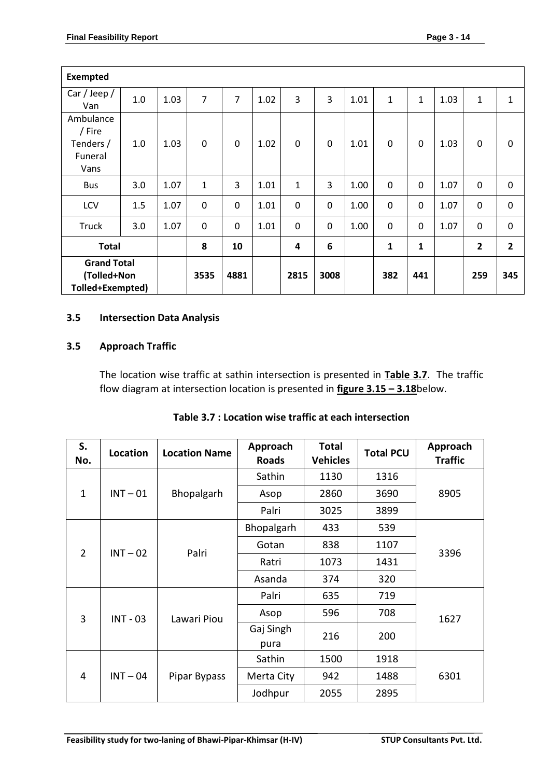| <b>Exempted</b>                                       |     |      |                |             |      |              |             |      |             |              |      |                |                |
|-------------------------------------------------------|-----|------|----------------|-------------|------|--------------|-------------|------|-------------|--------------|------|----------------|----------------|
| Car/Jeep/<br>Van                                      | 1.0 | 1.03 | $\overline{7}$ | 7           | 1.02 | 3            | 3           | 1.01 | 1           | 1            | 1.03 | $\mathbf{1}$   | $\mathbf{1}$   |
| Ambulance<br>/ Fire<br>Tenders /<br>Funeral<br>Vans   | 1.0 | 1.03 | $\mathbf 0$    | $\mathbf 0$ | 1.02 | 0            | 0           | 1.01 | $\mathbf 0$ | $\mathbf{0}$ | 1.03 | $\mathbf 0$    | $\mathbf 0$    |
| <b>Bus</b>                                            | 3.0 | 1.07 | 1              | 3           | 1.01 | $\mathbf{1}$ | 3           | 1.00 | $\mathbf 0$ | 0            | 1.07 | $\mathbf 0$    | $\mathbf 0$    |
| LCV                                                   | 1.5 | 1.07 | $\mathbf 0$    | $\mathbf 0$ | 1.01 | 0            | $\mathbf 0$ | 1.00 | $\mathbf 0$ | 0            | 1.07 | $\mathbf 0$    | $\mathbf 0$    |
| <b>Truck</b>                                          | 3.0 | 1.07 | $\mathbf 0$    | $\mathbf 0$ | 1.01 | $\mathbf 0$  | 0           | 1.00 | $\mathbf 0$ | $\mathbf{0}$ | 1.07 | $\mathbf 0$    | $\mathbf 0$    |
| <b>Total</b>                                          |     |      | 8              | 10          |      | 4            | 6           |      | 1           | 1            |      | $\overline{2}$ | $\overline{2}$ |
| <b>Grand Total</b><br>(Tolled+Non<br>Tolled+Exempted) |     |      | 3535           | 4881        |      | 2815         | 3008        |      | 382         | 441          |      | 259            | 345            |

#### **3.5 Intersection Data Analysis**

#### **3.5 Approach Traffic**

The location wise traffic at sathin intersection is presented in **Table 3.7**. The traffic flow diagram at intersection location is presented in **figure 3.15 – 3.18**below.

| S.<br>No.      | Location        | <b>Location Name</b> | Approach<br><b>Roads</b> | <b>Total</b><br><b>Vehicles</b> | <b>Total PCU</b> | Approach<br><b>Traffic</b> |  |
|----------------|-----------------|----------------------|--------------------------|---------------------------------|------------------|----------------------------|--|
| $\mathbf{1}$   | $INT - 01$      | Bhopalgarh           | Sathin                   | 1130                            | 1316             |                            |  |
|                |                 |                      | Asop                     | 2860                            | 3690             | 8905                       |  |
|                |                 |                      | Palri                    | 3025                            | 3899             |                            |  |
| $\overline{2}$ | $INT - 02$      | Palri                | Bhopalgarh               | 433                             | 539              | 3396                       |  |
|                |                 |                      | Gotan                    | 838                             | 1107             |                            |  |
|                |                 |                      | Ratri                    | 1073                            | 1431             |                            |  |
|                |                 |                      | Asanda                   | 374                             | 320              |                            |  |
| 3              | <b>INT - 03</b> | Lawari Piou          | Palri                    | 635                             | 719              |                            |  |
|                |                 |                      | Asop                     | 596                             | 708              | 1627                       |  |
|                |                 |                      | Gaj Singh<br>pura        | 216                             | 200              |                            |  |
| 4              | $INT - 04$      | Pipar Bypass         | Sathin                   | 1500                            | 1918             |                            |  |
|                |                 |                      | Merta City               | 942                             | 1488             | 6301                       |  |
|                |                 |                      | Jodhpur                  | 2055                            | 2895             |                            |  |

## **Table 3.7 : Location wise traffic at each intersection**